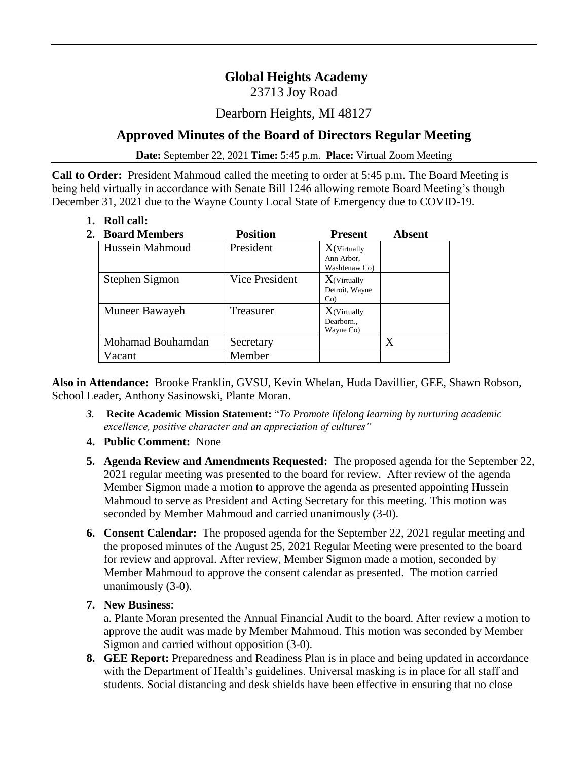# **Global Heights Academy**

23713 Joy Road

### Dearborn Heights, MI 48127

## **Approved Minutes of the Board of Directors Regular Meeting**

**Date:** September 22, 2021 **Time:** 5:45 p.m. **Place:** Virtual Zoom Meeting

**Call to Order:** President Mahmoud called the meeting to order at 5:45 p.m. The Board Meeting is being held virtually in accordance with Senate Bill 1246 allowing remote Board Meeting's though December 31, 2021 due to the Wayne County Local State of Emergency due to COVID-19.

**1. Roll call:**

| 2. | <b>Board Members</b> | <b>Position</b> | <b>Present</b>                             | <b>Absent</b> |
|----|----------------------|-----------------|--------------------------------------------|---------------|
|    | Hussein Mahmoud      | President       | $X$ (Virtually                             |               |
|    |                      |                 | Ann Arbor.<br>Washtenaw Co)                |               |
|    | Stephen Sigmon       | Vice President  | $X$ (Virtually<br>Detroit, Wayne<br>$Co$ ) |               |
|    | Muneer Bawayeh       | Treasurer       | $X$ (Virtually<br>Dearborn<br>Wayne Co)    |               |
|    | Mohamad Bouhamdan    | Secretary       |                                            | Χ             |
|    | Vacant               | Member          |                                            |               |

**Also in Attendance:** Brooke Franklin, GVSU, Kevin Whelan, Huda Davillier, GEE, Shawn Robson, School Leader, Anthony Sasinowski, Plante Moran.

- *3.* **Recite Academic Mission Statement:** "*To Promote lifelong learning by nurturing academic excellence, positive character and an appreciation of cultures"*
- **4. Public Comment:** None
- **5. Agenda Review and Amendments Requested:** The proposed agenda for the September 22, 2021 regular meeting was presented to the board for review. After review of the agenda Member Sigmon made a motion to approve the agenda as presented appointing Hussein Mahmoud to serve as President and Acting Secretary for this meeting. This motion was seconded by Member Mahmoud and carried unanimously (3-0).
- **6. Consent Calendar:** The proposed agenda for the September 22, 2021 regular meeting and the proposed minutes of the August 25, 2021 Regular Meeting were presented to the board for review and approval. After review, Member Sigmon made a motion, seconded by Member Mahmoud to approve the consent calendar as presented. The motion carried unanimously (3-0).
- **7. New Business**:

a. Plante Moran presented the Annual Financial Audit to the board. After review a motion to approve the audit was made by Member Mahmoud. This motion was seconded by Member Sigmon and carried without opposition (3-0).

**8. GEE Report:** Preparedness and Readiness Plan is in place and being updated in accordance with the Department of Health's guidelines. Universal masking is in place for all staff and students. Social distancing and desk shields have been effective in ensuring that no close